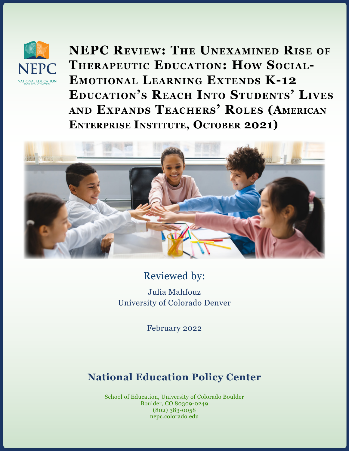

**NEPC Review: The Unexamined Rise of Therapeutic Education: How Social-Emotional Learning Extends K-12 Education's Reach Into Students' Lives and Expands Teachers' Roles (American Enterprise Institute, October 2021)**



# Reviewed by:

Julia Mahfouz University of Colorado Denver

February 2022

# **National Education Policy Center**

School of Education, University of Colorado Boulder Boulder, CO 80309-0249 (802) 383-0058 nepc.colorado.edu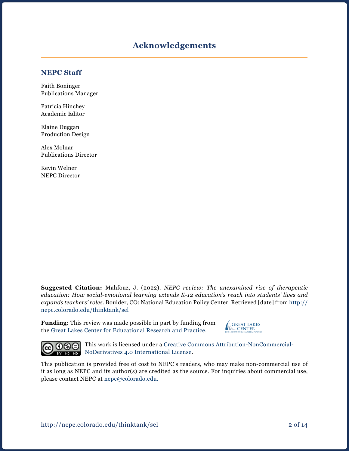### **Acknowledgements**

#### **NEPC Staff**

Faith Boninger Publications Manager

Patricia Hinchey Academic Editor

Elaine Duggan Production Design

Alex Molnar Publications Director

Kevin Welner NEPC Director

**Suggested Citation:** Mahfouz, J. (2022). *NEPC review: The unexamined rise of therapeutic education: How social-emotional learning extends K-12 education's reach into students' lives and expands teachers' roles.* Boulder, CO: National Education Policy Center. Retrieved [date] from [http://](http://nepc.colorado.edu/thinktank/sel) [nepc.colorado.edu/thinktank/](http://nepc.colorado.edu/thinktank/sel)sel

**Funding**: This review was made possible in part by funding from the [Great Lakes Center for Educational Research and Practice](http://www.greatlakescenter.org).





This work is licensed under a [Creative Commons Attribution-NonCommercial-](https://creativecommons.org/licenses/by-nc-nd/4.0/)[NoDerivatives 4.0 International License](https://creativecommons.org/licenses/by-nc-nd/4.0/).

This publication is provided free of cost to NEPC's readers, who may make non-commercial use of it as long as NEPC and its author(s) are credited as the source. For inquiries about commercial use, please contact NEPC at [nepc@colorado.edu](mailto:nepc%40colorado.edu?subject=).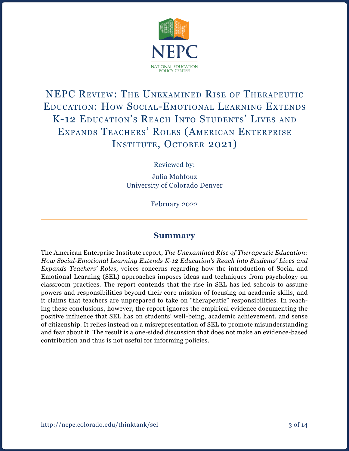

# NEPC Review: The Unexamined Rise of Therapeutic Education: How Social-Emotional Learning Extends K-12 Education's Reach Into Students' Lives and Expands Teachers' Roles (American Enterprise INSTITUTE, OCTOBER 2021)

Reviewed by:

Julia Mahfouz University of Colorado Denver

February 2022

#### **Summary**

The American Enterprise Institute report, *The Unexamined Rise of Therapeutic Education: How Social-Emotional Learning Extends K-12 Education's Reach into Students' Lives and Expands Teachers' Roles,* voices concerns regarding how the introduction of Social and Emotional Learning (SEL) approaches imposes ideas and techniques from psychology on classroom practices. The report contends that the rise in SEL has led schools to assume powers and responsibilities beyond their core mission of focusing on academic skills, and it claims that teachers are unprepared to take on "therapeutic" responsibilities. In reaching these conclusions, however, the report ignores the empirical evidence documenting the positive influence that SEL has on students' well-being, academic achievement, and sense of citizenship. It relies instead on a misrepresentation of SEL to promote misunderstanding and fear about it. The result is a one-sided discussion that does not make an evidence-based contribution and thus is not useful for informing policies.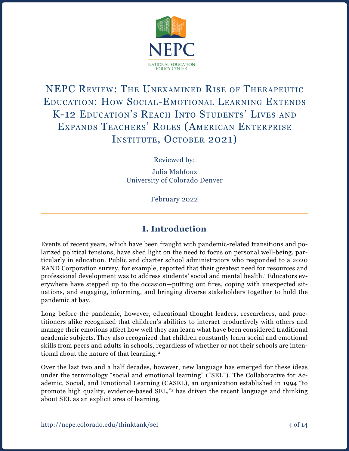

# NEPC Review: The Unexamined Rise of Therapeutic Education: How Social-Emotional Learning Extends K-12 Education's Reach Into Students' Lives and Expands Teachers' Roles (American Enterprise INSTITUTE, OCTOBER 2021)

Reviewed by:

Julia Mahfouz University of Colorado Denver

February 2022

## **I. Introduction**

Events of recent years, which have been fraught with pandemic-related transitions and polarized political tensions, have shed light on the need to focus on personal well-being, particularly in education. Public and charter school administrators who responded to a 2020 RAND Corporation survey, for example, reported that their greatest need for resources and professional development was to address students' social and mental health.1 Educators everywhere have stepped up to the occasion—putting out fires, coping with unexpected situations, and engaging, informing, and bringing diverse stakeholders together to hold the pandemic at bay.

Long before the pandemic, however, educational thought leaders, researchers, and practitioners alike recognized that children's abilities to interact productively with others and manage their emotions affect how well they can learn what have been considered traditional academic subjects. They also recognized that children constantly learn social and emotional skills from peers and adults in schools, regardless of whether or not their schools are intentional about the nature of that learning.<sup>2</sup>

Over the last two and a half decades, however, new language has emerged for these ideas under the terminology "social and emotional learning" ("SEL"). The Collaborative for Academic, Social, and Emotional Learning (CASEL), an organization established in 1994 "to promote high quality, evidence-based SEL,"3 has driven the recent language and thinking about SEL as an explicit area of learning.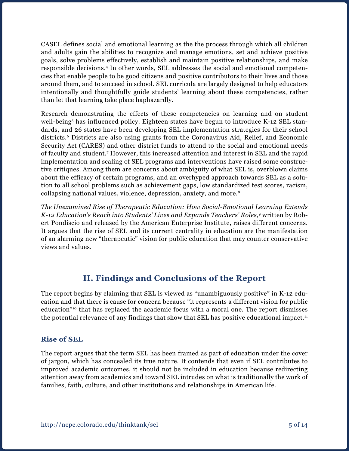CASEL defines social and emotional learning as the the process through which all children and adults gain the abilities to recognize and manage emotions, set and achieve positive goals, solve problems effectively, establish and maintain positive relationships, and make responsible decisions.4 In other words, SEL addresses the social and emotional competencies that enable people to be good citizens and positive contributors to their lives and those around them, and to succeed in school. SEL curricula are largely designed to help educators intentionally and thoughtfully guide students' learning about these competencies, rather than let that learning take place haphazardly.

Research demonstrating the effects of these competencies on learning and on student well-being<sup>5</sup> has influenced policy. Eighteen states have begun to introduce K-12 SEL standards, and 26 states have been developing SEL implementation strategies for their school districts.<sup>6</sup> Districts are also using grants from the Coronavirus Aid, Relief, and Economic Security Act (CARES) and other district funds to attend to the social and emotional needs of faculty and student.7 However, this increased attention and interest in SEL and the rapid implementation and scaling of SEL programs and interventions have raised some constructive critiques. Among them are concerns about ambiguity of what SEL is, overblown claims about the efficacy of certain programs, and an overhyped approach towards SEL as a solution to all school problems such as achievement gaps, low standardized test scores, racism, collapsing national values, violence, depression, anxiety, and more.8

*The Unexamined Rise of Therapeutic Education: How Social-Emotional Learning Extends K-12 Education's Reach into Students' Lives and Expands Teachers' Roles*, 9 written by Robert Pondiscio and released by the American Enterprise Institute, raises different concerns. It argues that the rise of SEL and its current centrality in education are the manifestation of an alarming new "therapeutic" vision for public education that may counter conservative views and values.

## **II. Findings and Conclusions of the Report**

The report begins by claiming that SEL is viewed as "unambiguously positive" in K-12 education and that there is cause for concern because "it represents a different vision for public education"10 that has replaced the academic focus with a moral one. The report dismisses the potential relevance of any findings that show that SEL has positive educational impact.<sup>11</sup>

#### **Rise of SEL**

The report argues that the term SEL has been framed as part of education under the cover of jargon, which has concealed its true nature. It contends that even if SEL contributes to improved academic outcomes, it should not be included in education because redirecting attention away from academics and toward SEL intrudes on what is traditionally the work of families, faith, culture, and other institutions and relationships in American life.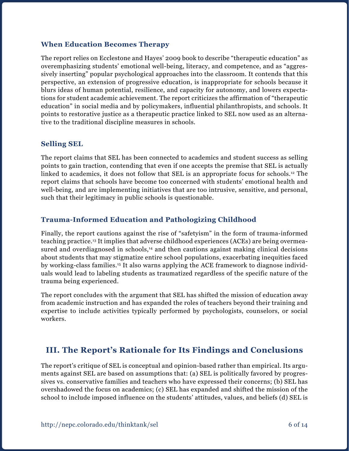#### **When Education Becomes Therapy**

The report relies on Ecclestone and Hayes' 2009 book to describe "therapeutic education" as overemphasizing students' emotional well-being, literacy, and competence, and as "aggressively inserting" popular psychological approaches into the classroom. It contends that this perspective, an extension of progressive education, is inappropriate for schools because it blurs ideas of human potential, resilience, and capacity for autonomy, and lowers expectations for student academic achievement. The report criticizes the affirmation of "therapeutic education" in social media and by policymakers, influential philanthropists, and schools. It points to restorative justice as a therapeutic practice linked to SEL now used as an alternative to the traditional discipline measures in schools.

#### **Selling SEL**

The report claims that SEL has been connected to academics and student success as selling points to gain traction, contending that even if one accepts the premise that SEL is actually linked to academics, it does not follow that SEL is an appropriate focus for schools.12 The report claims that schools have become too concerned with students' emotional health and well-being, and are implementing initiatives that are too intrusive, sensitive, and personal, such that their legitimacy in public schools is questionable.

#### **Trauma-Informed Education and Pathologizing Childhood**

Finally, the report cautions against the rise of "safetyism" in the form of trauma-informed teaching practice.13 It implies that adverse childhood experiences (ACEs) are being overmeasured and overdiagnosed in schools, $<sup>14</sup>$  and then cautions against making clinical decisions</sup> about students that may stigmatize entire school populations, exacerbating inequities faced by working-class families.15 It also warns applying the ACE framework to diagnose individuals would lead to labeling students as traumatized regardless of the specific nature of the trauma being experienced.

The report concludes with the argument that SEL has shifted the mission of education away from academic instruction and has expanded the roles of teachers beyond their training and expertise to include activities typically performed by psychologists, counselors, or social workers.

## **III. The Report's Rationale for Its Findings and Conclusions**

The report's critique of SEL is conceptual and opinion-based rather than empirical. Its arguments against SEL are based on assumptions that: (a) SEL is politically favored by progressives vs. conservative families and teachers who have expressed their concerns; (b) SEL has overshadowed the focus on academics; (c) SEL has expanded and shifted the mission of the school to include imposed influence on the students' attitudes, values, and beliefs (d) SEL is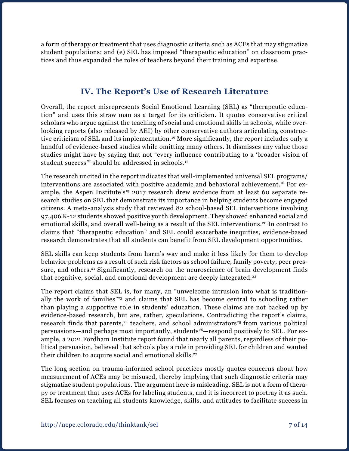a form of therapy or treatment that uses diagnostic criteria such as ACEs that may stigmatize student populations; and (e) SEL has imposed "therapeutic education" on classroom practices and thus expanded the roles of teachers beyond their training and expertise.

## **IV. The Report's Use of Research Literature**

Overall, the report misrepresents Social Emotional Learning (SEL) as "therapeutic education" and uses this straw man as a target for its criticism. It quotes conservative critical scholars who argue against the teaching of social and emotional skills in schools, while overlooking reports (also released by AEI) by other conservative authors articulating constructive criticism of SEL and its implementation.16 More significantly, the report includes only a handful of evidence-based studies while omitting many others. It dismisses any value those studies might have by saying that not "every influence contributing to a 'broader vision of student success'" should be addressed in schools.17

The research uncited in the report indicates that well-implemented universal SEL programs/ interventions are associated with positive academic and behavioral achievement.18 For example, the Aspen Institute's<sup>19</sup> 2017 research drew evidence from at least 60 separate research studies on SEL that demonstrate its importance in helping students become engaged citizens. A meta-analysis study that reviewed 82 school-based SEL interventions involving 97,406 K-12 students showed positive youth development. They showed enhanced social and emotional skills, and overall well-being as a result of the SEL interventions.<sup>20</sup> In contrast to claims that "therapeutic education" and SEL could exacerbate inequities, evidence-based research demonstrates that all students can benefit from SEL development opportunities.

SEL skills can keep students from harm's way and make it less likely for them to develop behavior problems as a result of such risk factors as school failure, family poverty, peer pressure, and others.<sup>21</sup> Significantly, research on the neuroscience of brain development finds that cognitive, social, and emotional development are deeply integrated.<sup>22</sup>

The report claims that SEL is, for many, an "unwelcome intrusion into what is traditionally the work of families"23 and claims that SEL has become central to schooling rather than playing a supportive role in students' education. These claims are not backed up by evidence-based research, but are, rather, speculations. Contradicting the report's claims, research finds that parents, $24$  teachers, and school administrators $25$  from various political persuasions—and perhaps most importantly, students<sup>26</sup>—respond positively to SEL. For example, a 2021 Fordham Institute report found that nearly all parents, regardless of their political persuasion, believed that schools play a role in providing SEL for children and wanted their children to acquire social and emotional skills.<sup>27</sup>

The long section on trauma-informed school practices mostly quotes concerns about how measurement of ACEs may be misused, thereby implying that such diagnostic criteria may stigmatize student populations. The argument here is misleading. SEL is not a form of therapy or treatment that uses ACEs for labeling students, and it is incorrect to portray it as such. SEL focuses on teaching all students knowledge, skills, and attitudes to facilitate success in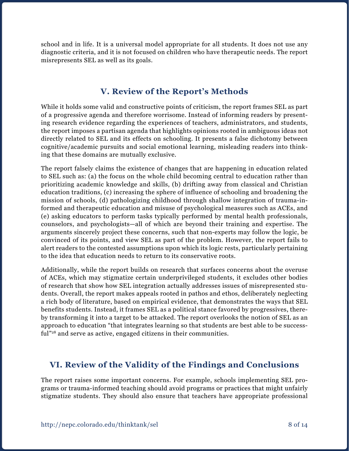school and in life. It is a universal model appropriate for all students. It does not use any diagnostic criteria, and it is not focused on children who have therapeutic needs. The report misrepresents SEL as well as its goals.

## **V. Review of the Report's Methods**

While it holds some valid and constructive points of criticism, the report frames SEL as part of a progressive agenda and therefore worrisome. Instead of informing readers by presenting research evidence regarding the experiences of teachers, administrators, and students, the report imposes a partisan agenda that highlights opinions rooted in ambiguous ideas not directly related to SEL and its effects on schooling. It presents a false dichotomy between cognitive/academic pursuits and social emotional learning, misleading readers into thinking that these domains are mutually exclusive.

The report falsely claims the existence of changes that are happening in education related to SEL such as: (a) the focus on the whole child becoming central to education rather than prioritizing academic knowledge and skills, (b) drifting away from classical and Christian education traditions, (c) increasing the sphere of influence of schooling and broadening the mission of schools, (d) pathologizing childhood through shallow integration of trauma-informed and therapeutic education and misuse of psychological measures such as ACEs, and (e) asking educators to perform tasks typically performed by mental health professionals, counselors, and psychologists—all of which are beyond their training and expertise. The arguments sincerely project these concerns, such that non-experts may follow the logic, be convinced of its points, and view SEL as part of the problem. However, the report fails to alert readers to the contested assumptions upon which its logic rests, particularly pertaining to the idea that education needs to return to its conservative roots.

Additionally, while the report builds on research that surfaces concerns about the overuse of ACEs, which may stigmatize certain underprivileged students, it excludes other bodies of research that show how SEL integration actually addresses issues of misrepresented students. Overall, the report makes appeals rooted in pathos and ethos, deliberately neglecting a rich body of literature, based on empirical evidence, that demonstrates the ways that SEL benefits students. Instead, it frames SEL as a political stance favored by progressives, thereby transforming it into a target to be attacked. The report overlooks the notion of SEL as an approach to education "that integrates learning so that students are best able to be successful"<sup>28</sup> and serve as active, engaged citizens in their communities.

## **VI. Review of the Validity of the Findings and Conclusions**

The report raises some important concerns. For example, schools implementing SEL programs or trauma-informed teaching should avoid programs or practices that might unfairly stigmatize students. They should also ensure that teachers have appropriate professional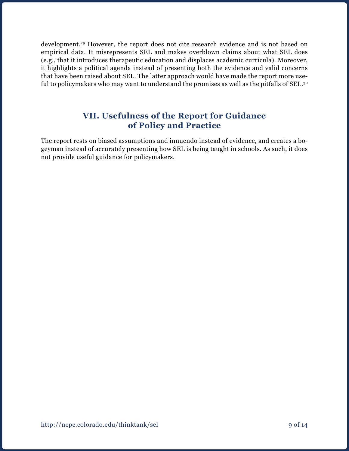development.<sup>29</sup> However, the report does not cite research evidence and is not based on empirical data. It misrepresents SEL and makes overblown claims about what SEL does (e.g., that it introduces therapeutic education and displaces academic curricula). Moreover, it highlights a political agenda instead of presenting both the evidence and valid concerns that have been raised about SEL. The latter approach would have made the report more useful to policymakers who may want to understand the promises as well as the pitfalls of SEL.<sup>30</sup>

### **VII. Usefulness of the Report for Guidance of Policy and Practice**

The report rests on biased assumptions and innuendo instead of evidence, and creates a bogeyman instead of accurately presenting how SEL is being taught in schools. As such, it does not provide useful guidance for policymakers.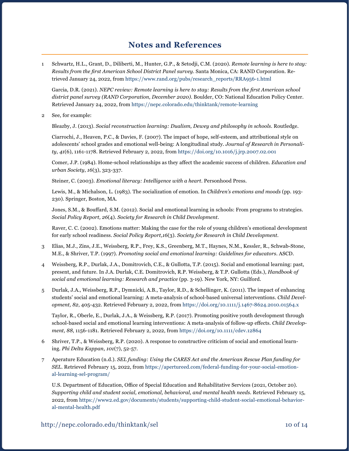### **Notes and References**

1 Schwartz, H.L., Grant, D., Diliberti, M., Hunter, G.P., & Setodji, C.M. (2020). *Remote learning is here to stay: Results from the first American School District Panel survey*. Santa Monica, CA: RAND Corporation. Retrieved January 24, 2022, from [https://www.rand.org/pubs/research\\_reports/RRA956-1.html](https://www.rand.org/pubs/research_reports/RRA956-1.html)

Garcia, D.R. (2021). *NEPC review: Remote learning is here to stay: Results from the first American school district panel survey (RAND Corporation, December 2020)*. Boulder, CO: National Education Policy Center. Retrieved January 24, 2022, from <https://nepc.colorado.edu/thinktank/remote-learning>

2 See, for example:

Bleazby, J. (2013). *Social reconstruction learning: Dualism, Dewey and philosophy in schools*. Routledge.

Ciarrochi, J., Heaven, P.C., & Davies, F. (2007). The impact of hope, self-esteem, and attributional style on adolescents' school grades and emotional well-being: A longitudinal study. *Journal of Research in Personality*, *41*(6), 1161-1178. Retrieved February 2, 2022, from<https://doi.org/10.1016/j.jrp.2007.02.001>

Comer, J.P. (1984). Home-school relationships as they affect the academic success of children. *Education and urban Society*, *16*(3), 323-337.

Steiner, C. (2003). *Emotional literacy: Intelligence with a heart*. Personhood Press.

Lewis, M., & Michalson, L. (1983). The socialization of emotion. In *Children's emotions and moods* (pp. 193- 230). Springer, Boston, MA.

Jones, S.M., & Bouffard, S.M. (2012). Social and emotional learning in schools: From programs to strategies. *Social Policy Report, 26*(4). *Society for Research in Child Development*.

Raver, C. C. (2002). Emotions matter: Making the case for the role of young children's emotional development for early school readiness. *Social Policy Report,16*(3). *Society for Research in Child Development*.

- 3 Elias, M.J., Zins, J.E., Weissberg, R.P., Frey, K.S., Greenberg, M.T., Haynes, N.M., Kessler, R., Schwab-Stone, M.E., & Shriver, T.P. (1997). *Promoting social and emotional learning: Guidelines for educators*. ASCD.
- 4 Weissberg, R.P., Durlak, J.A., Domitrovich, C.E., & Gullotta, T.P. (2015). Social and emotional learning: past, present, and future. In J.A. Durlak, C.E. Domitrovich, R.P. Weissberg, & T.P. Gullotta (Eds.), *Handbook of social and emotional learning: Research and practice* (pp. 3-19). New York, NY: Guilford.
- 5 Durlak, J.A., Weissberg, R.P., Dymnicki, A.B., Taylor, R.D., & Schellinger, K. (2011). The impact of enhancing students' social and emotional learning: A meta-analysis of school-based universal interventions. *Child Development, 82*, 405-432. Retrieved February 2, 2022, from <https://doi.org/10.1111/j.1467-8624.2010.01564.x>

Taylor, R., Oberle, E., Durlak, J.A., & Weissberg, R.P. (2017). Promoting positive youth development through school-based social and emotional learning interventions: A meta-analysis of follow-up effects. *Child Development, 88*, 1156-1181. Retrieved February 2, 2022, from <https://doi.org/10.1111/cdev.12864>

- 6 Shriver, T.P., & Weissberg, R.P. (2020). A response to constructive criticism of social and emotional learning. *Phi Delta Kappan*, *101*(7), 52-57.
- 7 Aperature Education (n.d.). *SEL funding: Using the CARES Act and the American Rescue Plan funding for SEL*. Retrieved February 15, 2022, from [https://apertureed.com/federal-funding-for-your-social-emotion](https://apertureed.com/federal-funding-for-your-social-emotional-learning-sel-program/)[al-learning-sel-program/](https://apertureed.com/federal-funding-for-your-social-emotional-learning-sel-program/)

U.S. Department of Education, Office of Special Education and Rehabilitative Services (2021, October 20). *Supporting child and student social, emotional, behavioral, and mental health needs.* Retrieved February 15, 2022, from [https://www2.ed.gov/documents/students/supporting-child-student-social-emotional-behavior](https://www2.ed.gov/documents/students/supporting-child-student-social-emotional-behavioral-mental-health.pdf)[al-mental-health.pdf](https://www2.ed.gov/documents/students/supporting-child-student-social-emotional-behavioral-mental-health.pdf)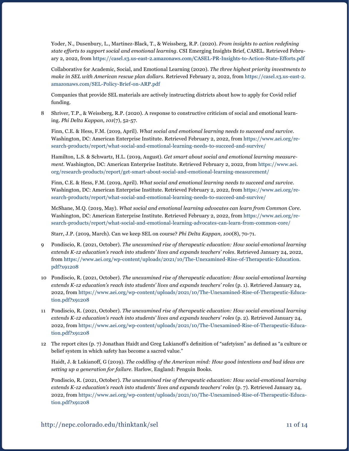Yoder, N., Dusenbury, L., Martinez-Black, T., & Weissberg, R.P. (2020). *From insights to action redefining state efforts to support social and emotional learning.* CSI Emerging Insights Brief, CASEL. Retrieved February 2, 2022, from <https://casel.s3.us-east-2.amazonaws.com/CASEL-PR-Insights-to-Action-State-Efforts.pdf>

Collaborative for Academic, Social, and Emotional Learning (2020). *The three highest priority investments to make in SEL with American rescue plan dollars*. Retrieved February 2, 2022, from [https://casel.s3.us-east-2.](https://casel.s3.us-east-2.amazonaws.com/SEL-Policy-Brief-on-ARP.pdf) [amazonaws.com/SEL-Policy-Brief-on-ARP.pdf](https://casel.s3.us-east-2.amazonaws.com/SEL-Policy-Brief-on-ARP.pdf) 

Companies that provide SEL materials are actively instructing districts about how to apply for Covid relief funding.

8 Shriver, T.P., & Weissberg, R.P. (2020). A response to constructive criticism of social and emotional learning. *Phi Delta Kappan*, *101*(7), 52-57.

Finn, C.E. & Hess, F.M. (2019, April). *What social and emotional learning needs to succeed and survive*. Washington, DC: American Enterprise Institute. Retrieved February 2, 2022, from [https://www.aei.org/re](https://www.aei.org/research-products/report/what-social-and-emotional-learning-needs-to-succeed-and-survive/)[search-products/report/what-social-and-emotional-learning-needs-to-succeed-and-survive/](https://www.aei.org/research-products/report/what-social-and-emotional-learning-needs-to-succeed-and-survive/)

Hamilton, L.S. & Schwartz, H.L. (2019, August). *Get smart about social and emotional learning measurement*. Washington, DC: American Enterprise Institute. Retrieved February 2, 2022, from [https://www.aei.](https://www.aei.org/research-products/report/get-smart-about-social-and-emotional-learning-measurement/) [org/research-products/report/get-smart-about-social-and-emotional-learning-measurement/](https://www.aei.org/research-products/report/get-smart-about-social-and-emotional-learning-measurement/)

Finn, C.E. & Hess, F.M. (2019, April). *What social and emotional learning needs to succeed and survive*. Washington, DC: American Enterprise Institute. Retrieved February 2, 2022, from [https://www.aei.org/re](https://www.aei.org/research-products/report/what-social-and-emotional-learning-needs-to-succeed-and-survive/)[search-products/report/what-social-and-emotional-learning-needs-to-succeed-and-survive/](https://www.aei.org/research-products/report/what-social-and-emotional-learning-needs-to-succeed-and-survive/)

McShane, M.Q. (2019, May). *What social and emotional learning advocates can learn from Common Core*. Washington, DC: American Enterprise Institute. Retrieved February 2, 2022, from [https://www.aei.org/re](https://www.aei.org/research-products/report/what-social-and-emotional-learning-advocates-can-learn-from-common-core/)[search-products/report/what-social-and-emotional-learning-advocates-can-learn-from-common-core/](https://www.aei.org/research-products/report/what-social-and-emotional-learning-advocates-can-learn-from-common-core/)

Starr, J.P. (2019, March). Can we keep SEL on course? *Phi Delta Kappan, 100*(8), 70-71.

- 9 Pondiscio, R. (2021, October). *The unexamined rise of therapeutic education: How social-emotional learning extends K-12 education's reach into students' lives and expands teachers' roles*. Retrieved January 24, 2022, from [https://www.aei.org/wp-content/uploads/2021/10/The-Unexamined-Rise-of-Therapeutic-Education.](https://www.aei.org/wp-content/uploads/2021/10/The-Unexamined-Rise-of-Therapeutic-Education.pdf?x91208) [pdf?x91208](https://www.aei.org/wp-content/uploads/2021/10/The-Unexamined-Rise-of-Therapeutic-Education.pdf?x91208)
- 10 Pondiscio, R. (2021, October). *The unexamined rise of therapeutic education: How social-emotional learning extends K-12 education's reach into students' lives and expands teachers' roles* (p. 1). Retrieved January 24, 2022, from [https://www.aei.org/wp-content/uploads/2021/10/The-Unexamined-Rise-of-Therapeutic-Educa](https://www.aei.org/wp-content/uploads/2021/10/The-Unexamined-Rise-of-Therapeutic-Education.pdf?x91208)[tion.pdf?x91208](https://www.aei.org/wp-content/uploads/2021/10/The-Unexamined-Rise-of-Therapeutic-Education.pdf?x91208)
- 11 Pondiscio, R. (2021, October). *The unexamined rise of therapeutic education: How social-emotional learning extends K-12 education's reach into students' lives and expands teachers' roles* (p. 2). Retrieved January 24, 2022, from [https://www.aei.org/wp-content/uploads/2021/10/The-Unexamined-Rise-of-Therapeutic-Educa](https://www.aei.org/wp-content/uploads/2021/10/The-Unexamined-Rise-of-Therapeutic-Education.pdf?x91208)[tion.pdf?x91208](https://www.aei.org/wp-content/uploads/2021/10/The-Unexamined-Rise-of-Therapeutic-Education.pdf?x91208)
- 12 The report cites (p. 7) Jonathan Haidt and Greg Lukianoff's definition of "safetyism" as defined as "a culture or belief system in which safety has become a sacred value."

Haidt, J. & Lukianoff, G (2019). *The coddling of the American mind: How good intentions and bad ideas are setting up a generation for failure.* Harlow, England: Penguin Books.

Pondiscio, R. (2021, October). *The unexamined rise of therapeutic education: How social-emotional learning extends K-12 education's reach into students' lives and expands teachers' roles* (p. 7). Retrieved January 24, 2022, from [https://www.aei.org/wp-content/uploads/2021/10/The-Unexamined-Rise-of-Therapeutic-Educa](https://www.aei.org/wp-content/uploads/2021/10/The-Unexamined-Rise-of-Therapeutic-Education.pdf?x91208)[tion.pdf?x91208](https://www.aei.org/wp-content/uploads/2021/10/The-Unexamined-Rise-of-Therapeutic-Education.pdf?x91208)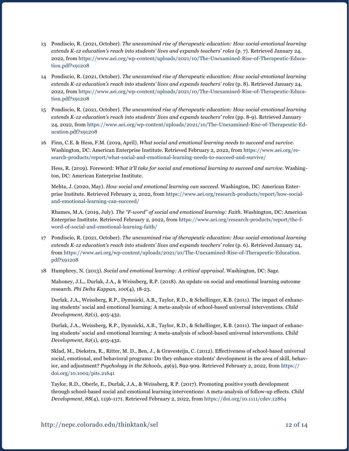- 13 Pondiscio, R. (2021, October). *The unexamined rise of therapeutic education: How social-emotional learning extends K-12 education's reach into students' lives and expands teachers' roles* (p. 7). Retrieved January 24, 2022, from [https://www.aei.org/wp-content/uploads/2021/10/The-Unexamined-Rise-of-Therapeutic-Educa](https://www.aei.org/wp-content/uploads/2021/10/The-Unexamined-Rise-of-Therapeutic-Education.pdf?x91208)[tion.pdf?x91208](https://www.aei.org/wp-content/uploads/2021/10/The-Unexamined-Rise-of-Therapeutic-Education.pdf?x91208)
- 14 Pondiscio, R. (2021, October). *The unexamined rise of therapeutic education: How social-emotional learning extends K-12 education's reach into students' lives and expands teachers' roles* (p. 8). Retrieved January 24, 2022, from [https://www.aei.org/wp-content/uploads/2021/10/The-Unexamined-Rise-of-Therapeutic-Educa](https://www.aei.org/wp-content/uploads/2021/10/The-Unexamined-Rise-of-Therapeutic-Education.pdf?x91208)[tion.pdf?x91208](https://www.aei.org/wp-content/uploads/2021/10/The-Unexamined-Rise-of-Therapeutic-Education.pdf?x91208)
- 15 Pondiscio, R. (2021, October). *The unexamined rise of therapeutic education: How social-emotional learning extends K-12 education's reach into students' lives and expands teachers' roles* (pp. 8-9). Retrieved January 24, 2022, from [https://www.aei.org/wp-content/uploads/2021/10/The-Unexamined-Rise-of-Therapeutic-Ed](https://www.aei.org/wp-content/uploads/2021/10/The-Unexamined-Rise-of-Therapeutic-Education.pdf?x91208)[ucation.pdf?x91208](https://www.aei.org/wp-content/uploads/2021/10/The-Unexamined-Rise-of-Therapeutic-Education.pdf?x91208)
- 16 Finn, C.E. & Hess, F.M. (2019, April). *What social and emotional learning needs to succeed and survive*. Washington, DC: American Enterprise Institute. Retrieved February 2, 2022, from [https://www.aei.org/re](https://www.aei.org/research-products/report/what-social-and-emotional-learning-needs-to-succeed-and-survive/)[search-products/report/what-social-and-emotional-learning-needs-to-succeed-and-survive/](https://www.aei.org/research-products/report/what-social-and-emotional-learning-needs-to-succeed-and-survive/)

Hess, R. (2019). Foreword: *What it'll take for social and emotional learning to succeed and survive*. Washington, DC: American Enterprise Institute.

Mehta, J. (2020, May). *How social and emotional learning can succeed*. Washington, DC: American Enterprise Institute. Retrieved February 2, 2022, from [https://www.aei.org/research-products/report/how-social](https://www.aei.org/research-products/report/how-social-and-emotional-learning-can-succeed/)[and-emotional-learning-can-succeed/](https://www.aei.org/research-products/report/how-social-and-emotional-learning-can-succeed/)

Rhames, M.A. (2019, July). *The "F-word" of social and emotional learning: Faith*. Washington, DC: American Enterprise Institute. Retrieved February 2, 2022, from [https://www.aei.org/research-products/report/the-f](https://www.aei.org/research-products/report/the-f-word-of-social-and-emotional-learning-faith/)[word-of-social-and-emotional-learning-faith/](https://www.aei.org/research-products/report/the-f-word-of-social-and-emotional-learning-faith/)

- 17 Pondiscio, R. (2021, October). *The unexamined rise of therapeutic education: How social-emotional learning extends K-12 education's reach into students' lives and expands teachers' roles* (p. 6). Retrieved January 24, from [https://www.aei.org/wp-content/uploads/2021/10/The-Unexamined-Rise-of-Therapeutic-Education.](https://www.aei.org/wp-content/uploads/2021/10/The-Unexamined-Rise-of-Therapeutic-Education.pdf?x91208) [pdf?x91208](https://www.aei.org/wp-content/uploads/2021/10/The-Unexamined-Rise-of-Therapeutic-Education.pdf?x91208)
- 18 Humphrey, N. (2013). *Social and emotional learning: A critical appraisal*. Washington, DC: Sage.

Mahoney, J.L., Durlak, J.A., & Weissberg, R.P. (2018). An update on social and emotional learning outcome research. *Phi Delta Kappan, 100*(4), 18-23.

Durlak, J.A., Weissberg, R.P., Dymnicki, A.B., Taylor, R.D., & Schellinger, K.B. (2011). The impact of enhancing students' social and emotional learning: A meta-analysis of school-based universal interventions. *Child Development*, *82*(1), 405-432.

Durlak, J.A., Weissberg, R.P., Dymnicki, A.B., Taylor, R.D., & Schellinger, K.B. (2011). The impact of enhancing students' social and emotional learning: A meta-analysis of school-based universal interventions. *Child Development*, *82*(1), 405-432.

Sklad, M., Diekstra, R., Ritter, M. D., Ben, J., & Gravesteijn, C. (2012). Effectiveness of school-based universal social, emotional, and behavioral programs: Do they enhance students' development in the area of skill, behavior, and adjustment? *Psychology in the Schools*, *49*(9), 892-909. Retrieved February 2, 2022, from [https://](https://doi.org/10.1002/pits.21641) [doi.org/10.1002/pits.21641](https://doi.org/10.1002/pits.21641)

Taylor, R.D., Oberle, E., Durlak, J.A., & Weissberg, R P. (2017). Promoting positive youth development through school-based social and emotional learning interventions: A meta-analysis of follow-up effects. *Child Development*, *88*(4), 1156-1171. Retrieved February 2, 2022, from <https://doi.org/10.1111/cdev.12864>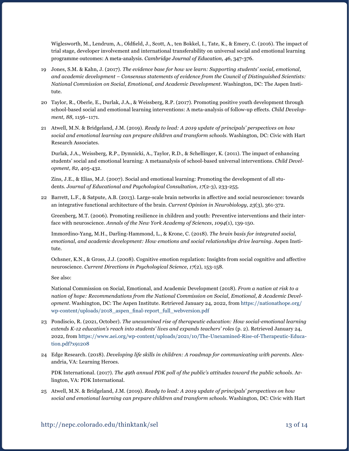Wiglesworth, M., Lendrum, A., Oldfield, J., Scott, A., ten Bokkel, I., Tate, K., & Emery, C. (2016). The impact of trial stage, developer involvement and international transferability on universal social and emotional learning programme outcomes: A meta-analysis. *Cambridge Journal of Education, 46*, 347-376.

- 19 Jones, S.M. & Kahn, J. (2017). *The evidence base for how we learn: Supporting students' social, emotional, and academic development – Consensus statements of evidence from the Council of Distinguished Scientists: National Commission on Social, Emotional, and Academic Development*. Washington, DC: The Aspen Institute.
- 20 Taylor, R., Oberle, E., Durlak, J.A., & Weissberg, R.P. (2017). Promoting positive youth development through school-based social and emotional learning interventions: A meta-analysis of follow-up effects. *Child Development, 88*, 1156–1171.
- 21 Atwell, M.N. & Bridgeland, J.M. (2019). *Ready to lead: A 2019 update of principals' perspectives on how social and emotional learning can prepare children and transform schools*. Washington, DC: Civic with Hart Research Associates.

Durlak, J.A., Weissberg, R.P., Dymnicki, A., Taylor, R.D., & Schellinger, K. (2011). The impact of enhancing students' social and emotional learning: A metaanalysis of school-based universal interventions. *Child Development, 82*, 405-432.

Zins, J.E., & Elias, M.J. (2007). Social and emotional learning: Promoting the development of all students. *Journal of Educational and Psychological Consultation*, *17*(2-3), 233-255.

22 Barrett, L.F., & Satpute, A.B. (2013). Large-scale brain networks in affective and social neuroscience: towards an integrative functional architecture of the brain. *Current Opinion in Neurobiology*, *23*(3), 361-372.

Greenberg, M.T. (2006). Promoting resilience in children and youth: Preventive interventions and their interface with neuroscience. *Annals of the New York Academy of Sciences*, *1094*(1), 139-150.

Immordino-Yang, M.H., Darling-Hammond, L., & Krone, C. (2018). *The brain basis for integrated social, emotional, and academic development: How emotions and social relationships drive learning.* Aspen Institute.

Ochsner, K.N., & Gross, J.J. (2008). Cognitive emotion regulation: Insights from social cognitive and affective neuroscience. *Current Directions in Psychological Science*, *17*(2), 153-158.

See also:

National Commission on Social, Emotional, and Academic Development (2018). *From a nation at risk to a nation of hope: Recommendations from the National Commission on Social, Emotional, & Academic Development*. Washington, DC: The Aspen Institute. Retrieved January 24, 2022, from [https://nationathope.org/](https://nationathope.org/wp-content/uploads/2018_aspen_final-report_full_webversion.pdf) [wp-content/uploads/2018\\_aspen\\_final-report\\_full\\_webversion.pdf](https://nationathope.org/wp-content/uploads/2018_aspen_final-report_full_webversion.pdf)

- 23 Pondiscio, R. (2021, October). *The unexamined rise of therapeutic education: How social-emotional learning extends K-12 education's reach into students' lives and expands teachers' roles* (p. 2). Retrieved January 24, 2022, from [https://www.aei.org/wp-content/uploads/2021/10/The-Unexamined-Rise-of-Therapeutic-Educa](https://www.aei.org/wp-content/uploads/2021/10/The-Unexamined-Rise-of-Therapeutic-Education.pdf?x91208)[tion.pdf?x91208](https://www.aei.org/wp-content/uploads/2021/10/The-Unexamined-Rise-of-Therapeutic-Education.pdf?x91208)
- 24 Edge Research. (2018). *Developing life skills in children: A roadmap for communicating with parents*. Alexandria, VA: Learning Heroes.

PDK International. (2017). *The 49th annual PDK poll of the public's attitudes toward the public schools*. Arlington, VA: PDK International.

25 Atwell, M.N. & Bridgeland, J.M. (2019). *Ready to lead: A 2019 update of principals' perspectives on how social and emotional learning can prepare children and transform schools*. Washington, DC: Civic with Hart